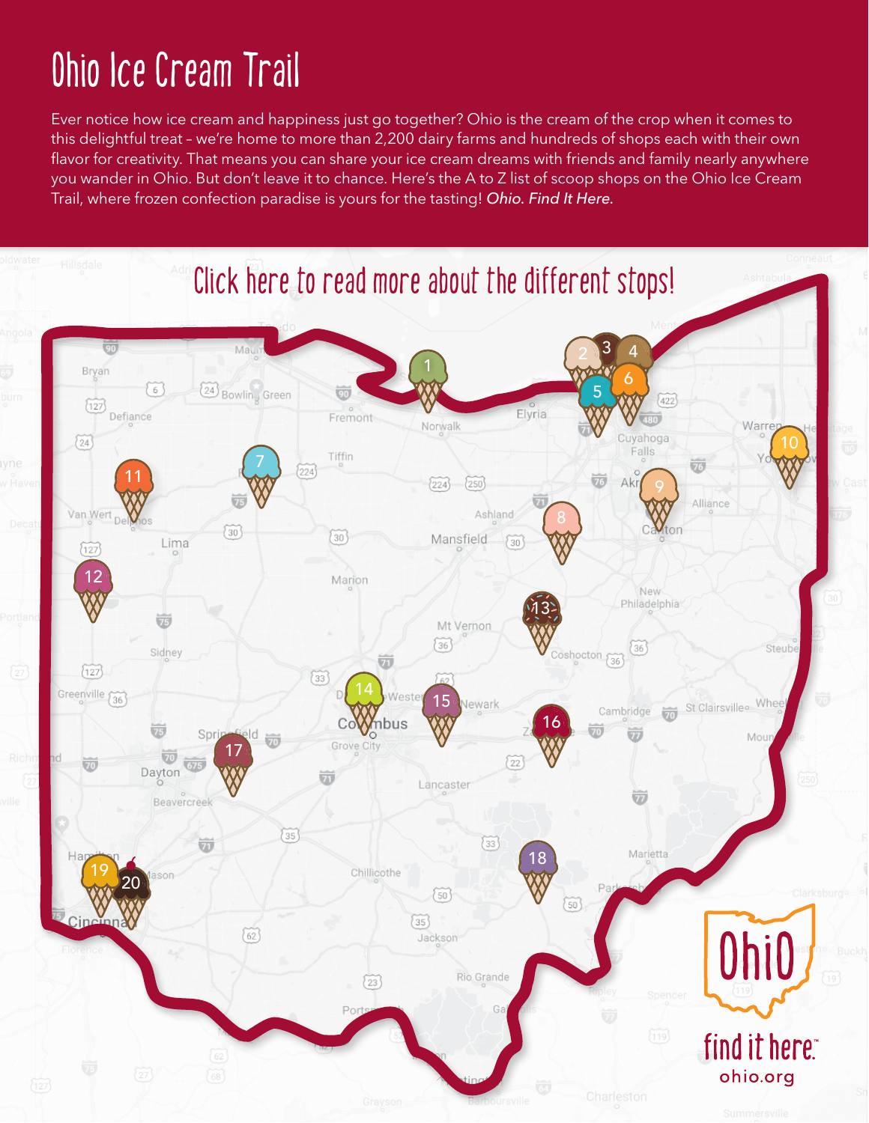# **Ohio Ice Cream Trail**

. Trail, where frozen confection paradise is yours for the tasting! *Ohio. Find It Here.* Ever notice how ice cream and happiness just go together? Ohio is the cream of the crop when it comes to this delightful treat – we're home to more than 2,200 dairy farms and hundreds of shops each with their own flavor for creativity. That means you can share your ice cream dreams with friends and family nearly anywhere you wander in Ohio. But don't leave it to chance. Here's the A to Z list of scoop shops on the Ohio Ice Cream

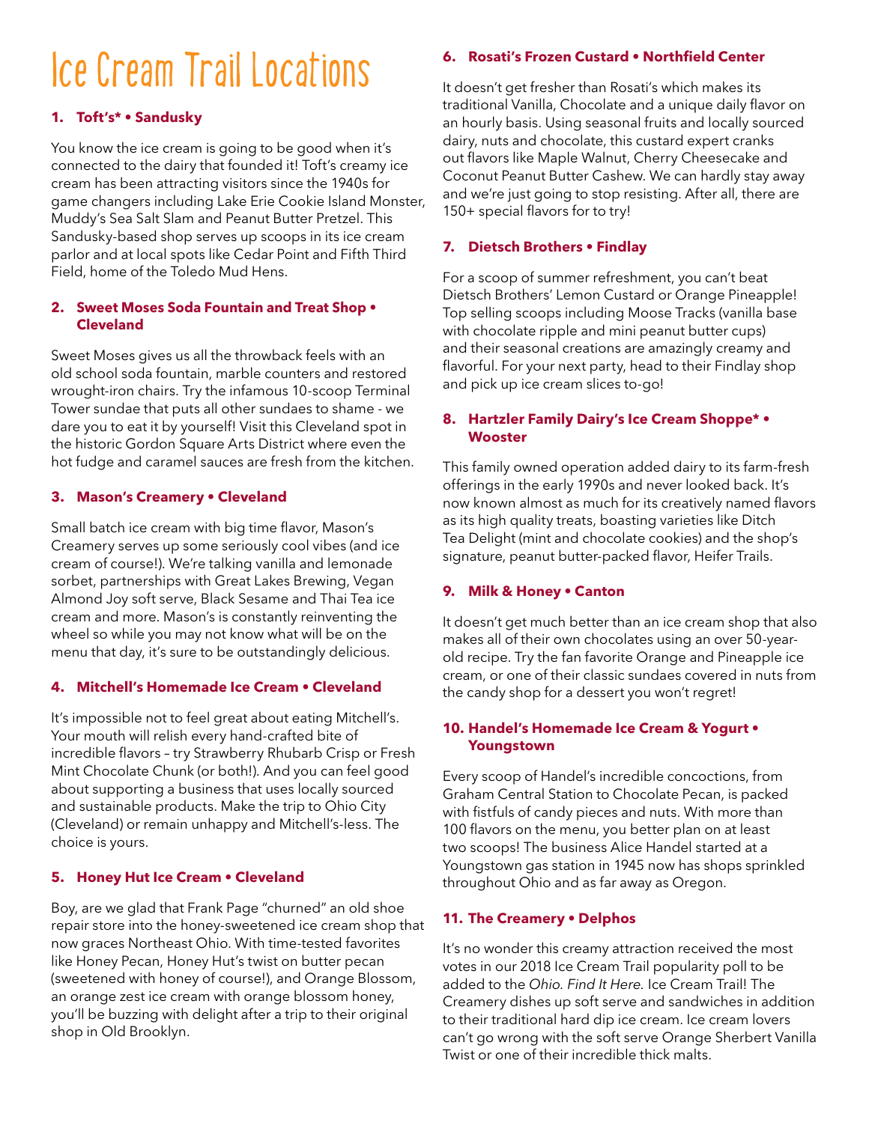# **Ice Cream Trail Locations**

# **1. [Toft's\\* • Sandusky](http://toftdairy.com/)**

You know the ice cream is going to be good when it's connected to the dairy that founded it! Toft's creamy ice cream has been attracting visitors since the 1940s for game changers including Lake Erie Cookie Island Monster, Muddy's Sea Salt Slam and Peanut Butter Pretzel. This Sandusky-based shop serves up scoops in its ice cream parlor and at local spots like Cedar Point and Fifth Third Field, home of the Toledo Mud Hens.

#### **2. [Sweet Moses Soda Fountain and Treat Shop •](https://www.sweetmosestreats.com/ )  [Cleveland](https://www.sweetmosestreats.com/ )**

Sweet Moses gives us all the throwback feels with an old school soda fountain, marble counters and restored wrought-iron chairs. Try the infamous 10-scoop Terminal Tower sundae that puts all other sundaes to shame - we dare you to eat it by yourself! Visit this Cleveland spot in the historic Gordon Square Arts District where even the hot fudge and caramel sauces are fresh from the kitchen.

#### **3. [Mason's Creamery • Cleveland](https://www.masonscreamery.com)**

Small batch ice cream with big time flavor, Mason's Creamery serves up some seriously cool vibes (and ice cream of course!). We're talking vanilla and lemonade sorbet, partnerships with Great Lakes Brewing, Vegan Almond Joy soft serve, Black Sesame and Thai Tea ice cream and more. Mason's is constantly reinventing the wheel so while you may not know what will be on the menu that day, it's sure to be outstandingly delicious.

# **4. [Mitchell's Homemade Ice Cream • Cleveland](https://mitchellshomemade.com/)**

It's impossible not to feel great about eating Mitchell's. Your mouth will relish every hand-crafted bite of incredible flavors – try Strawberry Rhubarb Crisp or Fresh Mint Chocolate Chunk (or both!). And you can feel good about supporting a business that uses locally sourced and sustainable products. Make the trip to Ohio City (Cleveland) or remain unhappy and Mitchell's-less. The choice is yours.

# **5. [Honey Hut Ice Cream • Cleveland](https://gohoneyhut.com/)**

Boy, are we glad that Frank Page "churned" an old shoe repair store into the honey-sweetened ice cream shop that now graces Northeast Ohio. With time-tested favorites like Honey Pecan, Honey Hut's twist on butter pecan (sweetened with honey of course!), and Orange Blossom, an orange zest ice cream with orange blossom honey, you'll be buzzing with delight after a trip to their original shop in Old Brooklyn.

## **6. [Rosati's Frozen Custard • Northfield Center](https://rosatisfrozencustard.com/)**

It doesn't get fresher than Rosati's which makes its traditional Vanilla, Chocolate and a unique daily flavor on an hourly basis. Using seasonal fruits and locally sourced dairy, nuts and chocolate, this custard expert cranks out flavors like Maple Walnut, Cherry Cheesecake and Coconut Peanut Butter Cashew. We can hardly stay away and we're just going to stop resisting. After all, there are 150+ special flavors for to try!

# **7. [Dietsch Brothers • Findlay](https://dietschs.com/)**

For a scoop of summer refreshment, you can't beat Dietsch Brothers' Lemon Custard or Orange Pineapple! Top selling scoops including Moose Tracks (vanilla base with chocolate ripple and mini peanut butter cups) and their seasonal creations are amazingly creamy and flavorful. For your next party, head to their Findlay shop and pick up ice cream slices to-go!

#### **8. [Hartzler Family Dairy's Ice Cream Shoppe\\* •](https://www.hartzlerdairy.com/ice-cream-shop)  [Wooster](https://www.hartzlerdairy.com/ice-cream-shop)**

This family owned operation added dairy to its farm-fresh offerings in the early 1990s and never looked back. It's now known almost as much for its creatively named flavors as its high quality treats, boasting varieties like Ditch Tea Delight (mint and chocolate cookies) and the shop's signature, peanut butter-packed flavor, Heifer Trails.

#### **9. [Milk & Honey • Canton](https://www.facebook.com/MilkAndHoneyCantonOH/)**

It doesn't get much better than an ice cream shop that also makes all of their own chocolates using an over 50-yearold recipe. Try the fan favorite Orange and Pineapple ice cream, or one of their classic sundaes covered in nuts from the candy shop for a dessert you won't regret!

#### **10. [Handel's Homemade Ice Cream & Yogurt •](http://www.handelsicecream.com/)  [Youngstown](http://www.handelsicecream.com/)**

Every scoop of Handel's incredible concoctions, from Graham Central Station to Chocolate Pecan, is packed with fistfuls of candy pieces and nuts. With more than 100 flavors on the menu, you better plan on at least two scoops! The business Alice Handel started at a Youngstown gas station in 1945 now has shops sprinkled throughout Ohio and as far away as Oregon.

# **11. [The Creamery • Delphos](https://www.facebook.com/TheDelphosCreamery/)**

It's no wonder this creamy attraction received the most votes in our 2018 Ice Cream Trail popularity poll to be added to the *Ohio. Find It Here.* Ice Cream Trail! The Creamery dishes up soft serve and sandwiches in addition to their traditional hard dip ice cream. Ice cream lovers can't go wrong with the soft serve Orange Sherbert Vanilla Twist or one of their incredible thick malts.